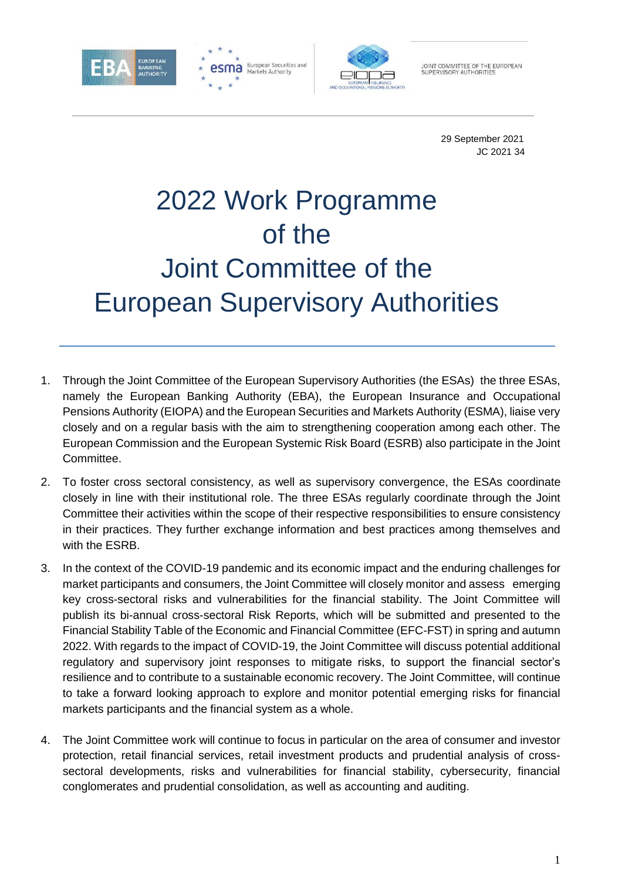





JOINT COMMITTEE OF THE EUROPEAN<br>SUPERVISORY AUTHORITIES

29 September 2021 JC 2021 34

# 2022 Work Programme of the Joint Committee of the European Supervisory Authorities

- 1. Through the Joint Committee of the European Supervisory Authorities (the ESAs) the three ESAs, namely the European Banking Authority (EBA), the European Insurance and Occupational Pensions Authority (EIOPA) and the European Securities and Markets Authority (ESMA), liaise very closely and on a regular basis with the aim to strengthening cooperation among each other. The European Commission and the European Systemic Risk Board (ESRB) also participate in the Joint Committee.
- 2. To foster cross sectoral consistency, as well as supervisory convergence, the ESAs coordinate closely in line with their institutional role. The three ESAs regularly coordinate through the Joint Committee their activities within the scope of their respective responsibilities to ensure consistency in their practices. They further exchange information and best practices among themselves and with the ESRB.
- 3. In the context of the COVID-19 pandemic and its economic impact and the enduring challenges for market participants and consumers, the Joint Committee will closely monitor and assess emerging key cross-sectoral risks and vulnerabilities for the financial stability. The Joint Committee will publish its bi-annual cross-sectoral Risk Reports, which will be submitted and presented to the Financial Stability Table of the Economic and Financial Committee (EFC-FST) in spring and autumn 2022. With regards to the impact of COVID-19, the Joint Committee will discuss potential additional regulatory and supervisory joint responses to mitigate risks, to support the financial sector's resilience and to contribute to a sustainable economic recovery. The Joint Committee, will continue to take a forward looking approach to explore and monitor potential emerging risks for financial markets participants and the financial system as a whole.
- 4. The Joint Committee work will continue to focus in particular on the area of consumer and investor protection, retail financial services, retail investment products and prudential analysis of crosssectoral developments, risks and vulnerabilities for financial stability, cybersecurity, financial conglomerates and prudential consolidation, as well as accounting and auditing.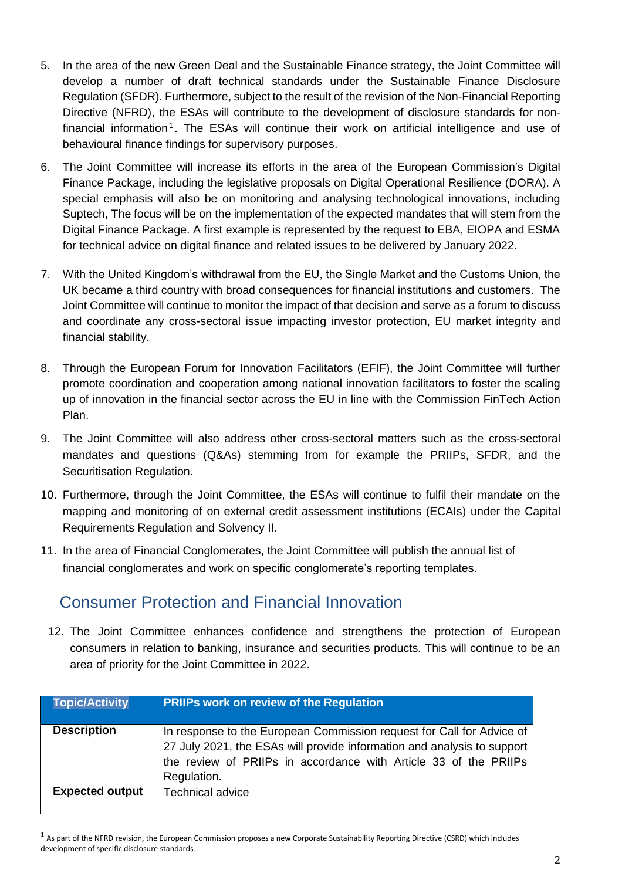- 5. In the area of the new Green Deal and the Sustainable Finance strategy, the Joint Committee will develop a number of draft technical standards under the Sustainable Finance Disclosure Regulation (SFDR). Furthermore, subject to the result of the revision of the Non-Financial Reporting Directive (NFRD), the ESAs will contribute to the development of disclosure standards for nonfinancial information<sup>1</sup>. The ESAs will continue their work on artificial intelligence and use of behavioural finance findings for supervisory purposes.
- 6. The Joint Committee will increase its efforts in the area of the European Commission's Digital Finance Package, including the legislative proposals on Digital Operational Resilience (DORA). A special emphasis will also be on monitoring and analysing technological innovations, including Suptech, The focus will be on the implementation of the expected mandates that will stem from the Digital Finance Package. A first example is represented by the request to EBA, EIOPA and ESMA for technical advice on digital finance and related issues to be delivered by January 2022.
- 7. With the United Kingdom's withdrawal from the EU, the Single Market and the Customs Union, the UK became a third country with broad consequences for financial institutions and customers. The Joint Committee will continue to monitor the impact of that decision and serve as a forum to discuss and coordinate any cross-sectoral issue impacting investor protection, EU market integrity and financial stability.
- 8. Through the European Forum for Innovation Facilitators (EFIF), the Joint Committee will further promote coordination and cooperation among national innovation facilitators to foster the scaling up of innovation in the financial sector across the EU in line with the Commission FinTech Action Plan.
- 9. The Joint Committee will also address other cross-sectoral matters such as the cross-sectoral mandates and questions (Q&As) stemming from for example the PRIIPs, SFDR, and the Securitisation Regulation.
- 10. Furthermore, through the Joint Committee, the ESAs will continue to fulfil their mandate on the mapping and monitoring of on external credit assessment institutions (ECAIs) under the Capital Requirements Regulation and Solvency II.
- 11. In the area of Financial Conglomerates, the Joint Committee will publish the annual list of financial conglomerates and work on specific conglomerate's reporting templates.

#### Consumer Protection and Financial Innovation

l

12. The Joint Committee enhances confidence and strengthens the protection of European consumers in relation to banking, insurance and securities products. This will continue to be an area of priority for the Joint Committee in 2022.

| Topic/Activity         | <b>PRIIPs work on review of the Regulation</b>                                                                                                                                                                                      |
|------------------------|-------------------------------------------------------------------------------------------------------------------------------------------------------------------------------------------------------------------------------------|
| <b>Description</b>     | In response to the European Commission request for Call for Advice of<br>27 July 2021, the ESAs will provide information and analysis to support<br>the review of PRIIPs in accordance with Article 33 of the PRIIPs<br>Regulation. |
| <b>Expected output</b> | <b>Technical advice</b>                                                                                                                                                                                                             |

 $<sup>1</sup>$  As part of the NFRD revision, the European Commission proposes a new Corporate Sustainability Reporting Directive (CSRD) which includes</sup> development of specific disclosure standards*.*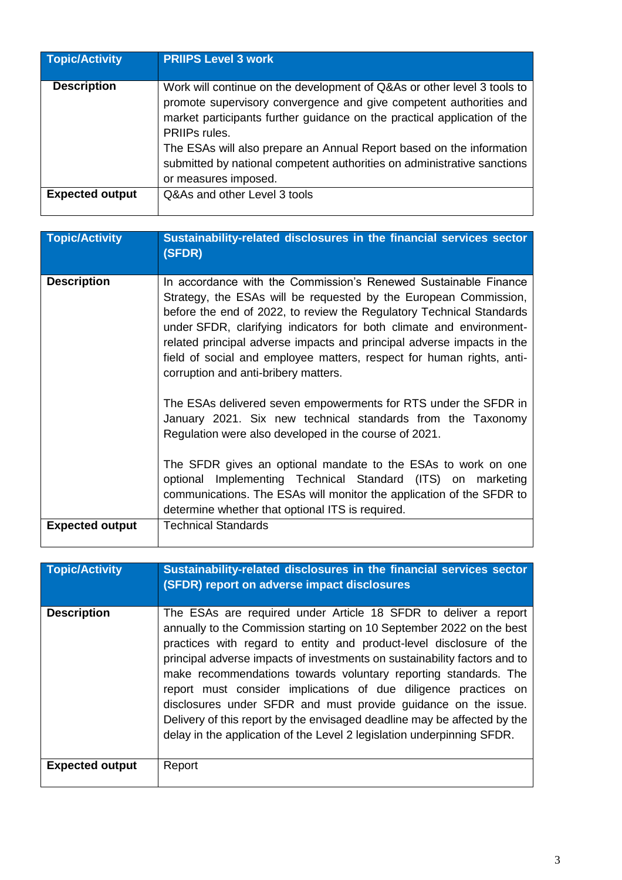| <b>Topic/Activity</b>  | <b>PRIIPS Level 3 work</b>                                                                                                                                                                                                                 |
|------------------------|--------------------------------------------------------------------------------------------------------------------------------------------------------------------------------------------------------------------------------------------|
| <b>Description</b>     | Work will continue on the development of Q&As or other level 3 tools to<br>promote supervisory convergence and give competent authorities and<br>market participants further guidance on the practical application of the<br>PRIIPs rules. |
|                        | The ESAs will also prepare an Annual Report based on the information<br>submitted by national competent authorities on administrative sanctions<br>or measures imposed.                                                                    |
| <b>Expected output</b> | Q&As and other Level 3 tools                                                                                                                                                                                                               |

| <b>Topic/Activity</b>  | Sustainability-related disclosures in the financial services sector<br>(SFDR)                                                                                                                                                                                                                                                                                                                                                                                                 |
|------------------------|-------------------------------------------------------------------------------------------------------------------------------------------------------------------------------------------------------------------------------------------------------------------------------------------------------------------------------------------------------------------------------------------------------------------------------------------------------------------------------|
| <b>Description</b>     | In accordance with the Commission's Renewed Sustainable Finance<br>Strategy, the ESAs will be requested by the European Commission,<br>before the end of 2022, to review the Regulatory Technical Standards<br>under SFDR, clarifying indicators for both climate and environment-<br>related principal adverse impacts and principal adverse impacts in the<br>field of social and employee matters, respect for human rights, anti-<br>corruption and anti-bribery matters. |
|                        | The ESAs delivered seven empowerments for RTS under the SFDR in<br>January 2021. Six new technical standards from the Taxonomy<br>Regulation were also developed in the course of 2021.                                                                                                                                                                                                                                                                                       |
|                        | The SFDR gives an optional mandate to the ESAs to work on one<br>optional Implementing Technical Standard (ITS) on marketing<br>communications. The ESAs will monitor the application of the SFDR to<br>determine whether that optional ITS is required.                                                                                                                                                                                                                      |
| <b>Expected output</b> | <b>Technical Standards</b>                                                                                                                                                                                                                                                                                                                                                                                                                                                    |

| <b>Topic/Activity</b>  | Sustainability-related disclosures in the financial services sector<br>(SFDR) report on adverse impact disclosures                                                                                                                                                                                                                                                                                                                                                                                                                                                                                                                                        |
|------------------------|-----------------------------------------------------------------------------------------------------------------------------------------------------------------------------------------------------------------------------------------------------------------------------------------------------------------------------------------------------------------------------------------------------------------------------------------------------------------------------------------------------------------------------------------------------------------------------------------------------------------------------------------------------------|
| <b>Description</b>     | The ESAs are required under Article 18 SFDR to deliver a report<br>annually to the Commission starting on 10 September 2022 on the best<br>practices with regard to entity and product-level disclosure of the<br>principal adverse impacts of investments on sustainability factors and to<br>make recommendations towards voluntary reporting standards. The<br>report must consider implications of due diligence practices on<br>disclosures under SFDR and must provide guidance on the issue.<br>Delivery of this report by the envisaged deadline may be affected by the<br>delay in the application of the Level 2 legislation underpinning SFDR. |
| <b>Expected output</b> | Report                                                                                                                                                                                                                                                                                                                                                                                                                                                                                                                                                                                                                                                    |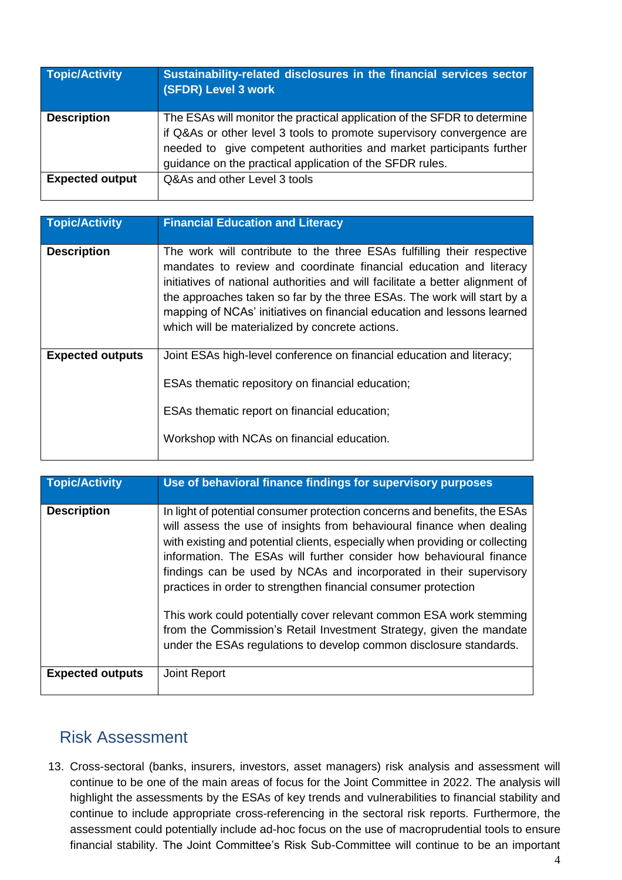| Topic/Activity         | Sustainability-related disclosures in the financial services sector<br>(SFDR) Level 3 work                                                                                                                                                                                            |
|------------------------|---------------------------------------------------------------------------------------------------------------------------------------------------------------------------------------------------------------------------------------------------------------------------------------|
| <b>Description</b>     | The ESAs will monitor the practical application of the SFDR to determine<br>if Q&As or other level 3 tools to promote supervisory convergence are<br>needed to give competent authorities and market participants further<br>guidance on the practical application of the SFDR rules. |
| <b>Expected output</b> | Q&As and other Level 3 tools                                                                                                                                                                                                                                                          |

| <b>Topic/Activity</b>   | <b>Financial Education and Literacy</b>                                                                                                                                                                                                                                                                                                                                                                                                |
|-------------------------|----------------------------------------------------------------------------------------------------------------------------------------------------------------------------------------------------------------------------------------------------------------------------------------------------------------------------------------------------------------------------------------------------------------------------------------|
| <b>Description</b>      | The work will contribute to the three ESAs fulfilling their respective<br>mandates to review and coordinate financial education and literacy<br>initiatives of national authorities and will facilitate a better alignment of<br>the approaches taken so far by the three ESAs. The work will start by a<br>mapping of NCAs' initiatives on financial education and lessons learned<br>which will be materialized by concrete actions. |
| <b>Expected outputs</b> | Joint ESAs high-level conference on financial education and literacy;<br>ESAs thematic repository on financial education;<br>ESAs thematic report on financial education;<br>Workshop with NCAs on financial education.                                                                                                                                                                                                                |

| <b>Topic/Activity</b>   | Use of behavioral finance findings for supervisory purposes                                                                                                                                                                                                                                                                                                                                                                                                                                                                                                                                                                                                           |
|-------------------------|-----------------------------------------------------------------------------------------------------------------------------------------------------------------------------------------------------------------------------------------------------------------------------------------------------------------------------------------------------------------------------------------------------------------------------------------------------------------------------------------------------------------------------------------------------------------------------------------------------------------------------------------------------------------------|
| <b>Description</b>      | In light of potential consumer protection concerns and benefits, the ESAs<br>will assess the use of insights from behavioural finance when dealing<br>with existing and potential clients, especially when providing or collecting<br>information. The ESAs will further consider how behavioural finance<br>findings can be used by NCAs and incorporated in their supervisory<br>practices in order to strengthen financial consumer protection<br>This work could potentially cover relevant common ESA work stemming<br>from the Commission's Retail Investment Strategy, given the mandate<br>under the ESAs regulations to develop common disclosure standards. |
| <b>Expected outputs</b> | Joint Report                                                                                                                                                                                                                                                                                                                                                                                                                                                                                                                                                                                                                                                          |

#### Risk Assessment

13. Cross-sectoral (banks, insurers, investors, asset managers) risk analysis and assessment will continue to be one of the main areas of focus for the Joint Committee in 2022. The analysis will highlight the assessments by the ESAs of key trends and vulnerabilities to financial stability and continue to include appropriate cross-referencing in the sectoral risk reports. Furthermore, the assessment could potentially include ad-hoc focus on the use of macroprudential tools to ensure financial stability. The Joint Committee's Risk Sub-Committee will continue to be an important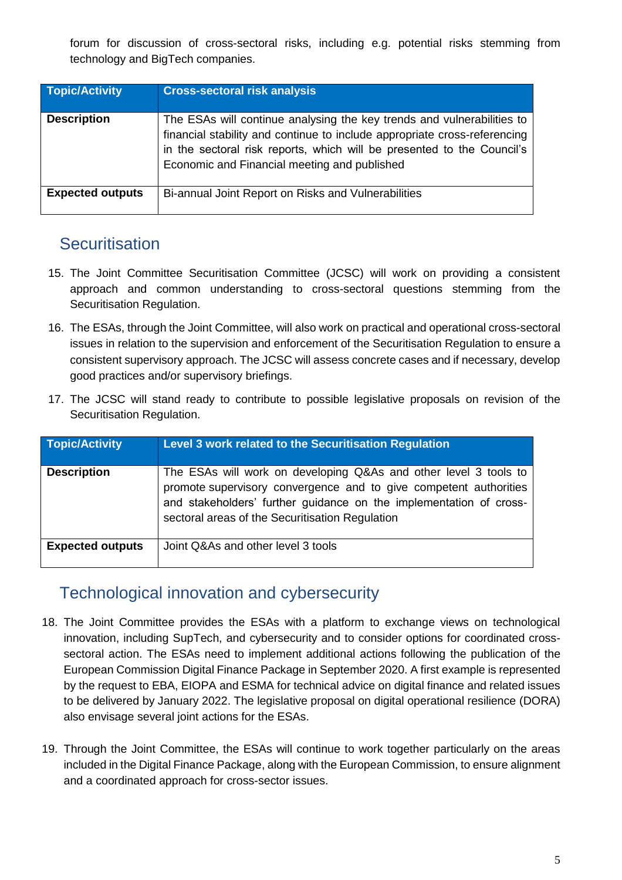forum for discussion of cross-sectoral risks, including e.g. potential risks stemming from technology and BigTech companies.

| <b>Topic/Activity</b>   | <b>Cross-sectoral risk analysis</b>                                                                                                                                                                                                                                           |
|-------------------------|-------------------------------------------------------------------------------------------------------------------------------------------------------------------------------------------------------------------------------------------------------------------------------|
| <b>Description</b>      | The ESAs will continue analysing the key trends and vulnerabilities to<br>financial stability and continue to include appropriate cross-referencing<br>in the sectoral risk reports, which will be presented to the Council's<br>Economic and Financial meeting and published |
| <b>Expected outputs</b> | Bi-annual Joint Report on Risks and Vulnerabilities                                                                                                                                                                                                                           |

#### **Securitisation**

- 15. The Joint Committee Securitisation Committee (JCSC) will work on providing a consistent approach and common understanding to cross-sectoral questions stemming from the Securitisation Regulation.
- 16. The ESAs, through the Joint Committee, will also work on practical and operational cross-sectoral issues in relation to the supervision and enforcement of the Securitisation Regulation to ensure a consistent supervisory approach. The JCSC will assess concrete cases and if necessary, develop good practices and/or supervisory briefings.
- 17. The JCSC will stand ready to contribute to possible legislative proposals on revision of the Securitisation Regulation.

| <b>Topic/Activity</b>   | Level 3 work related to the Securitisation Regulation                                                                                                                                                                                                          |
|-------------------------|----------------------------------------------------------------------------------------------------------------------------------------------------------------------------------------------------------------------------------------------------------------|
| <b>Description</b>      | The ESAs will work on developing Q&As and other level 3 tools to<br>promote supervisory convergence and to give competent authorities<br>and stakeholders' further guidance on the implementation of cross-<br>sectoral areas of the Securitisation Regulation |
| <b>Expected outputs</b> | Joint Q&As and other level 3 tools                                                                                                                                                                                                                             |

#### Technological innovation and cybersecurity

- 18. The Joint Committee provides the ESAs with a platform to exchange views on technological innovation, including SupTech, and cybersecurity and to consider options for coordinated crosssectoral action. The ESAs need to implement additional actions following the publication of the European Commission Digital Finance Package in September 2020. A first example is represented by the request to EBA, EIOPA and ESMA for technical advice on digital finance and related issues to be delivered by January 2022. The legislative proposal on digital operational resilience (DORA) also envisage several joint actions for the ESAs.
- 19. Through the Joint Committee, the ESAs will continue to work together particularly on the areas included in the Digital Finance Package, along with the European Commission, to ensure alignment and a coordinated approach for cross-sector issues.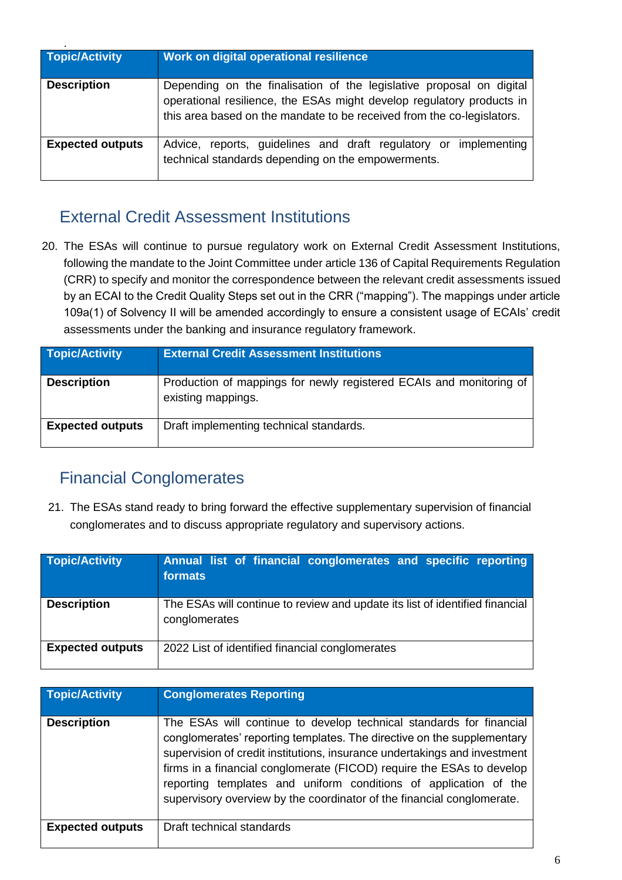| <b>Topic/Activity</b>   | Work on digital operational resilience                                                                                                                                                                                  |
|-------------------------|-------------------------------------------------------------------------------------------------------------------------------------------------------------------------------------------------------------------------|
| <b>Description</b>      | Depending on the finalisation of the legislative proposal on digital<br>operational resilience, the ESAs might develop regulatory products in<br>this area based on the mandate to be received from the co-legislators. |
| <b>Expected outputs</b> | Advice, reports, guidelines and draft regulatory or implementing<br>technical standards depending on the empowerments.                                                                                                  |

#### External Credit Assessment Institutions

20. The ESAs will continue to pursue regulatory work on External Credit Assessment Institutions, following the mandate to the Joint Committee under article 136 of Capital Requirements Regulation (CRR) to specify and monitor the correspondence between the relevant credit assessments issued by an ECAI to the Credit Quality Steps set out in the CRR ("mapping"). The mappings under article 109a(1) of Solvency II will be amended accordingly to ensure a consistent usage of ECAIs' credit assessments under the banking and insurance regulatory framework.

| <b>Topic/Activity</b>   | <b>External Credit Assessment Institutions</b>                                            |
|-------------------------|-------------------------------------------------------------------------------------------|
| <b>Description</b>      | Production of mappings for newly registered ECAIs and monitoring of<br>existing mappings. |
| <b>Expected outputs</b> | Draft implementing technical standards.                                                   |

### Financial Conglomerates

21. The ESAs stand ready to bring forward the effective supplementary supervision of financial conglomerates and to discuss appropriate regulatory and supervisory actions.

| <b>Topic/Activity</b>   | <b>Annual list of financial conglomerates and specific reporting</b><br>formats               |
|-------------------------|-----------------------------------------------------------------------------------------------|
| <b>Description</b>      | The ESAs will continue to review and update its list of identified financial<br>conglomerates |
| <b>Expected outputs</b> | 2022 List of identified financial conglomerates                                               |

| <b>Topic/Activity</b>   | <b>Conglomerates Reporting</b>                                                                                                                                                                                                                                                                                                                                                                                                                    |
|-------------------------|---------------------------------------------------------------------------------------------------------------------------------------------------------------------------------------------------------------------------------------------------------------------------------------------------------------------------------------------------------------------------------------------------------------------------------------------------|
| <b>Description</b>      | The ESAs will continue to develop technical standards for financial<br>conglomerates' reporting templates. The directive on the supplementary<br>supervision of credit institutions, insurance undertakings and investment<br>firms in a financial conglomerate (FICOD) require the ESAs to develop<br>reporting templates and uniform conditions of application of the<br>supervisory overview by the coordinator of the financial conglomerate. |
| <b>Expected outputs</b> | Draft technical standards                                                                                                                                                                                                                                                                                                                                                                                                                         |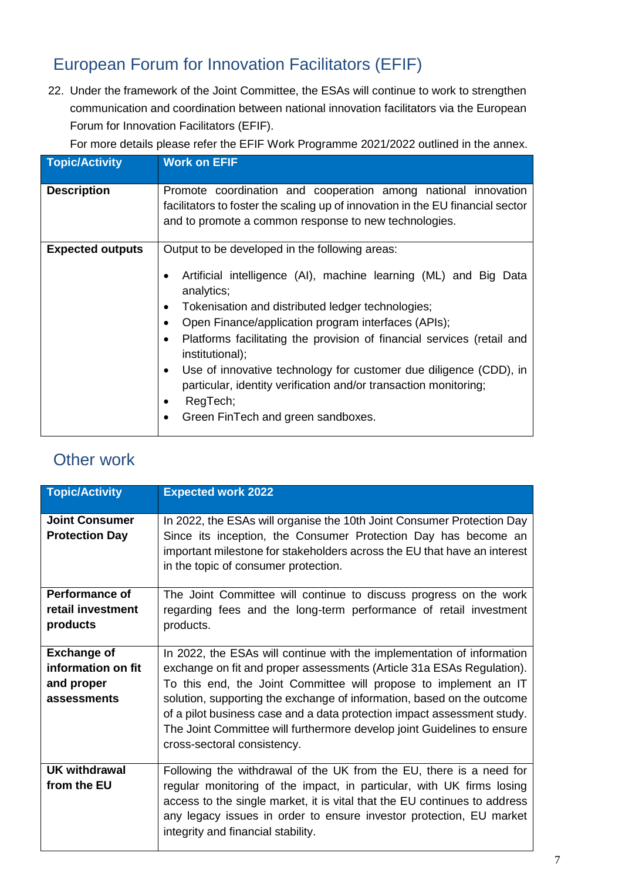## European Forum for Innovation Facilitators (EFIF)

22. Under the framework of the Joint Committee, the ESAs will continue to work to strengthen communication and coordination between national innovation facilitators via the European Forum for Innovation Facilitators (EFIF).

For more details please refer the EFIF Work Programme 2021/2022 outlined in the annex.

| <b>Topic/Activity</b>   | <b>Work on EFIF</b>                                                                                                                                                                                                                                                                                                                                                                                                                                                                                                                                    |
|-------------------------|--------------------------------------------------------------------------------------------------------------------------------------------------------------------------------------------------------------------------------------------------------------------------------------------------------------------------------------------------------------------------------------------------------------------------------------------------------------------------------------------------------------------------------------------------------|
| <b>Description</b>      | Promote coordination and cooperation among national innovation<br>facilitators to foster the scaling up of innovation in the EU financial sector<br>and to promote a common response to new technologies.                                                                                                                                                                                                                                                                                                                                              |
| <b>Expected outputs</b> | Output to be developed in the following areas:<br>Artificial intelligence (AI), machine learning (ML) and Big Data<br>analytics;<br>Tokenisation and distributed ledger technologies;<br>Open Finance/application program interfaces (APIs);<br>Platforms facilitating the provision of financial services (retail and<br>institutional);<br>Use of innovative technology for customer due diligence (CDD), in<br>٠<br>particular, identity verification and/or transaction monitoring;<br>RegTech;<br>Green FinTech and green sandboxes.<br>$\bullet$ |

#### Other work

| <b>Topic/Activity</b>                                                 | <b>Expected work 2022</b>                                                                                                                                                                                                                                                                                                                                                                                                                                                          |
|-----------------------------------------------------------------------|------------------------------------------------------------------------------------------------------------------------------------------------------------------------------------------------------------------------------------------------------------------------------------------------------------------------------------------------------------------------------------------------------------------------------------------------------------------------------------|
| <b>Joint Consumer</b><br><b>Protection Day</b>                        | In 2022, the ESAs will organise the 10th Joint Consumer Protection Day<br>Since its inception, the Consumer Protection Day has become an<br>important milestone for stakeholders across the EU that have an interest<br>in the topic of consumer protection.                                                                                                                                                                                                                       |
| <b>Performance of</b><br>retail investment<br>products                | The Joint Committee will continue to discuss progress on the work<br>regarding fees and the long-term performance of retail investment<br>products.                                                                                                                                                                                                                                                                                                                                |
| <b>Exchange of</b><br>information on fit<br>and proper<br>assessments | In 2022, the ESAs will continue with the implementation of information<br>exchange on fit and proper assessments (Article 31a ESAs Regulation).<br>To this end, the Joint Committee will propose to implement an IT<br>solution, supporting the exchange of information, based on the outcome<br>of a pilot business case and a data protection impact assessment study.<br>The Joint Committee will furthermore develop joint Guidelines to ensure<br>cross-sectoral consistency. |
| <b>UK withdrawal</b><br>from the EU                                   | Following the withdrawal of the UK from the EU, there is a need for<br>regular monitoring of the impact, in particular, with UK firms losing<br>access to the single market, it is vital that the EU continues to address<br>any legacy issues in order to ensure investor protection, EU market<br>integrity and financial stability.                                                                                                                                             |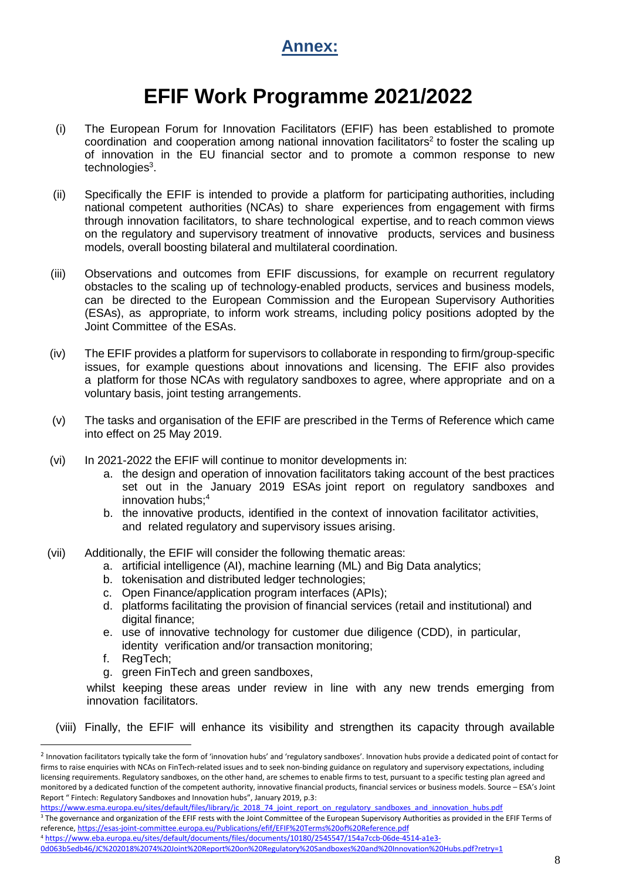

## **EFIF Work Programme 2021/2022**

- (i) The European Forum for Innovation Facilitators (EFIF) has been established to promote coordination and cooperation among national innovation facilitators<sup>2</sup> to foster the scaling up of innovation in the EU financial sector and to promote a common response to new technologies<sup>3</sup>.
- (ii) Specifically the EFIF is intended to provide a platform for participating authorities, including national competent authorities (NCAs) to share experiences from engagement with firms through innovation facilitators, to share technological expertise, and to reach common views on the regulatory and supervisory treatment of innovative products, services and business models, overall boosting bilateral and multilateral coordination.
- (iii) Observations and outcomes from EFIF discussions, for example on recurrent regulatory obstacles to the scaling up of technology-enabled products, services and business models, can be directed to the European Commission and the European Supervisory Authorities (ESAs), as appropriate, to inform work streams, including policy positions adopted by the Joint Committee of the ESAs.
- (iv) The EFIF provides a platform for supervisors to collaborate in responding to firm/group-specific issues, for example questions about innovations and licensing. The EFIF also provides a platform for those NCAs with regulatory sandboxes to agree, where appropriate and on a voluntary basis, joint testing arrangements.
- (v) The tasks and organisation of the EFIF are prescribed in the Terms of Reference which came into effect on 25 May 2019.
- (vi) In 2021-2022 the EFIF will continue to monitor developments in:
	- a. the design and operation of innovation facilitators taking account of the best practices set out in the January 2019 ESAs joint report on regulatory sandboxes and innovation hubs;<sup>4</sup>
	- b. the innovative products, identified in the context of innovation facilitator activities, and related regulatory and supervisory issues arising.
- (vii) Additionally, the EFIF will consider the following thematic areas:
	- a. artificial intelligence (AI), machine learning (ML) and Big Data analytics;
	- b. tokenisation and distributed ledger technologies;
	- c. Open Finance/application program interfaces (APIs);
	- d. platforms facilitating the provision of financial services (retail and institutional) and digital finance:
	- e. use of innovative technology for customer due diligence (CDD), in particular, identity verification and/or transaction monitoring;
	- f. RegTech;

 $\overline{a}$ 

g. green FinTech and green sandboxes,

whilst keeping these areas under review in line with any new trends emerging from innovation facilitators.

(viii) Finally, the EFIF will enhance its visibility and strengthen its capacity through available

- reference[, https://esas-joint-committee.europa.eu/Publications/efif/EFIF%20Terms%20of%20Reference.pdf](https://esas-joint-committee.europa.eu/Publications/efif/EFIF%20Terms%20of%20Reference.pdf)
- <sup>4</sup> [https://www.eba.europa.eu/sites/default/documents/files/documents/10180/2545547/154a7ccb-06de-4514-a1e3-](https://www.eba.europa.eu/sites/default/documents/files/documents/10180/2545547/154a7ccb-06de-4514-a1e3-0d063b5edb46/JC%202018%2074%20Joint%20Report%20on%20Regulatory%20Sandboxes%20and%20Innovation%20Hubs.pdf?retry=1)

<sup>&</sup>lt;sup>2</sup> Innovation facilitators typically take the form of 'innovation hubs' and 'regulatory sandboxes'. Innovation hubs provide a dedicated point of contact for firms to raise enquiries with NCAs on FinTech-related issues and to seek non-binding guidance on regulatory and supervisory expectations, including licensing requirements. Regulatory sandboxes, on the other hand, are schemes to enable firms to test, pursuant to a specific testing plan agreed and monitored by a dedicated function of the competent authority, innovative financial products, financial services or business models. Source – ESA's Joint Report " Fintech: Regulatory Sandboxes and Innovation hubs", January 2019, p.3:

https://www.esma.europa.eu/sites/default/files/library/jc\_2018\_74\_joint\_report\_on\_regulatory\_sandboxes\_and\_innovation\_hubs.pdf <sup>3</sup> The governance and organization of the EFIF rests with the Joint Committee of the European Supervisory Authorities as provided in the EFIF Terms of

[<sup>0</sup>d063b5edb46/JC%202018%2074%20Joint%20Report%20on%20Regulatory%20Sandboxes%20and%20Innovation%20Hubs.pdf?retry=1](https://www.eba.europa.eu/sites/default/documents/files/documents/10180/2545547/154a7ccb-06de-4514-a1e3-0d063b5edb46/JC%202018%2074%20Joint%20Report%20on%20Regulatory%20Sandboxes%20and%20Innovation%20Hubs.pdf?retry=1)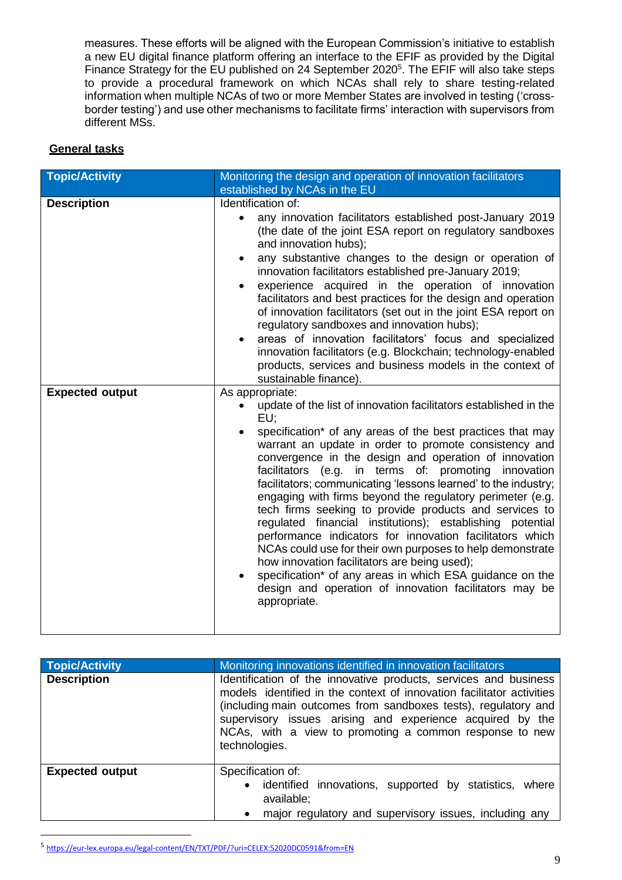measures. These efforts will be aligned with the European Commission's initiative to establish a new EU digital finance platform offering an interface to the EFIF as provided by the Digital Finance Strategy for the EU published on 24 September 2020<sup>5</sup>. The EFIF will also take steps to provide a procedural framework on which NCAs shall rely to share testing-related information when multiple NCAs of two or more Member States are involved in testing ('crossborder testing') and use other mechanisms to facilitate firms' interaction with supervisors from different MSs.

#### **General tasks**

| <b>Topic/Activity</b>  | Monitoring the design and operation of innovation facilitators                                                                                                                                                                                                                                                                                                                                                                                                                                                                                                                                                                                                                                                                                                                                                                                                                                                       |
|------------------------|----------------------------------------------------------------------------------------------------------------------------------------------------------------------------------------------------------------------------------------------------------------------------------------------------------------------------------------------------------------------------------------------------------------------------------------------------------------------------------------------------------------------------------------------------------------------------------------------------------------------------------------------------------------------------------------------------------------------------------------------------------------------------------------------------------------------------------------------------------------------------------------------------------------------|
|                        | established by NCAs in the EU                                                                                                                                                                                                                                                                                                                                                                                                                                                                                                                                                                                                                                                                                                                                                                                                                                                                                        |
| <b>Description</b>     | Identification of:<br>any innovation facilitators established post-January 2019<br>(the date of the joint ESA report on regulatory sandboxes<br>and innovation hubs);<br>any substantive changes to the design or operation of<br>innovation facilitators established pre-January 2019;<br>experience acquired in the operation of innovation<br>facilitators and best practices for the design and operation<br>of innovation facilitators (set out in the joint ESA report on<br>regulatory sandboxes and innovation hubs);<br>areas of innovation facilitators' focus and specialized<br>innovation facilitators (e.g. Blockchain; technology-enabled<br>products, services and business models in the context of                                                                                                                                                                                                 |
|                        | sustainable finance).                                                                                                                                                                                                                                                                                                                                                                                                                                                                                                                                                                                                                                                                                                                                                                                                                                                                                                |
| <b>Expected output</b> | As appropriate:<br>update of the list of innovation facilitators established in the<br>$\bullet$<br>EU:<br>specification* of any areas of the best practices that may<br>warrant an update in order to promote consistency and<br>convergence in the design and operation of innovation<br>facilitators (e.g. in terms of: promoting innovation<br>facilitators; communicating 'lessons learned' to the industry;<br>engaging with firms beyond the regulatory perimeter (e.g.<br>tech firms seeking to provide products and services to<br>regulated financial institutions); establishing potential<br>performance indicators for innovation facilitators which<br>NCAs could use for their own purposes to help demonstrate<br>how innovation facilitators are being used);<br>specification* of any areas in which ESA guidance on the<br>design and operation of innovation facilitators may be<br>appropriate. |

| <b>Topic/Activity</b>  | Monitoring innovations identified in innovation facilitators                                                                                                                                                                                                                                                                                         |
|------------------------|------------------------------------------------------------------------------------------------------------------------------------------------------------------------------------------------------------------------------------------------------------------------------------------------------------------------------------------------------|
| <b>Description</b>     | Identification of the innovative products, services and business<br>models identified in the context of innovation facilitator activities<br>(including main outcomes from sandboxes tests), regulatory and<br>supervisory issues arising and experience acquired by the<br>NCAs, with a view to promoting a common response to new<br>technologies. |
| <b>Expected output</b> | Specification of:<br>identified innovations, supported by statistics,<br>where<br>$\bullet$<br>available;<br>major regulatory and supervisory issues, including any                                                                                                                                                                                  |

<sup>5</sup> <https://eur-lex.europa.eu/legal-content/EN/TXT/PDF/?uri=CELEX:52020DC0591&from=EN>

l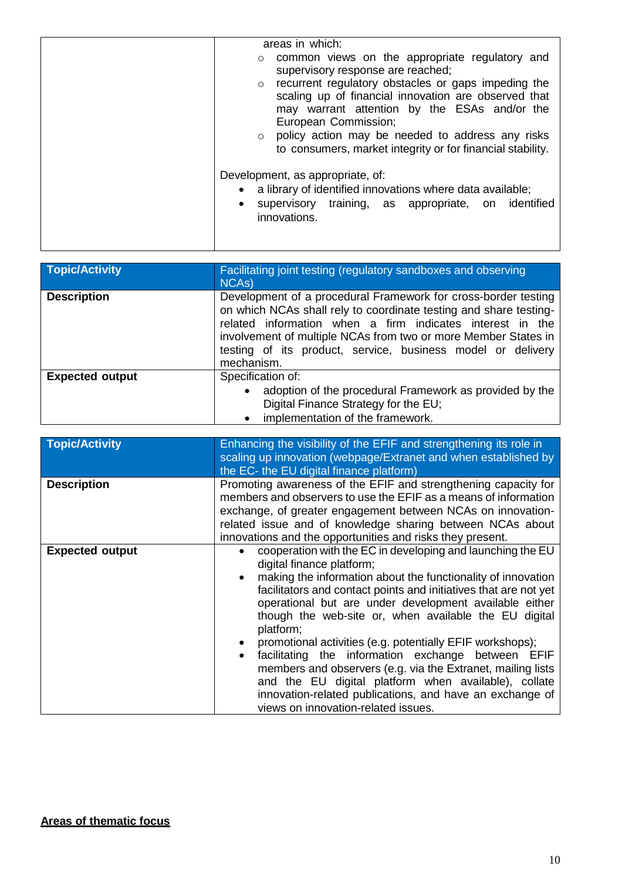| areas in which:                                             |
|-------------------------------------------------------------|
| o common views on the appropriate regulatory and            |
| supervisory response are reached;                           |
| o recurrent regulatory obstacles or gaps impeding the       |
| scaling up of financial innovation are observed that        |
| may warrant attention by the ESAs and/or the                |
| European Commission;                                        |
| policy action may be needed to address any risks<br>$\circ$ |
| to consumers, market integrity or for financial stability.  |
|                                                             |
| Development, as appropriate, of:                            |
| a library of identified innovations where data available;   |
| supervisory training, as appropriate, on identified         |
| innovations.                                                |
|                                                             |
|                                                             |

| <b>Topic/Activity</b>  | Facilitating joint testing (regulatory sandboxes and observing<br>NCA <sub>s</sub> )                                                                                                                                                                                                                                                            |
|------------------------|-------------------------------------------------------------------------------------------------------------------------------------------------------------------------------------------------------------------------------------------------------------------------------------------------------------------------------------------------|
| <b>Description</b>     | Development of a procedural Framework for cross-border testing<br>on which NCAs shall rely to coordinate testing and share testing-<br>related information when a firm indicates interest in the<br>involvement of multiple NCAs from two or more Member States in<br>testing of its product, service, business model or delivery<br>mechanism. |
| <b>Expected output</b> | Specification of:<br>adoption of the procedural Framework as provided by the<br>$\bullet$<br>Digital Finance Strategy for the EU;<br>implementation of the framework.<br>$\bullet$                                                                                                                                                              |

| <b>Topic/Activity</b>  | Enhancing the visibility of the EFIF and strengthening its role in<br>scaling up innovation (webpage/Extranet and when established by<br>the EC- the EU digital finance platform)                                                                                                                                                                                                                                                                                                                                                                                                                                                                                                                        |
|------------------------|----------------------------------------------------------------------------------------------------------------------------------------------------------------------------------------------------------------------------------------------------------------------------------------------------------------------------------------------------------------------------------------------------------------------------------------------------------------------------------------------------------------------------------------------------------------------------------------------------------------------------------------------------------------------------------------------------------|
| <b>Description</b>     | Promoting awareness of the EFIF and strengthening capacity for<br>members and observers to use the EFIF as a means of information<br>exchange, of greater engagement between NCAs on innovation-<br>related issue and of knowledge sharing between NCAs about<br>innovations and the opportunities and risks they present.                                                                                                                                                                                                                                                                                                                                                                               |
| <b>Expected output</b> | cooperation with the EC in developing and launching the EU<br>digital finance platform;<br>making the information about the functionality of innovation<br>facilitators and contact points and initiatives that are not yet<br>operational but are under development available either<br>though the web-site or, when available the EU digital<br>platform;<br>promotional activities (e.g. potentially EFIF workshops);<br>facilitating the information exchange between EFIF<br>members and observers (e.g. via the Extranet, mailing lists<br>and the EU digital platform when available), collate<br>innovation-related publications, and have an exchange of<br>views on innovation-related issues. |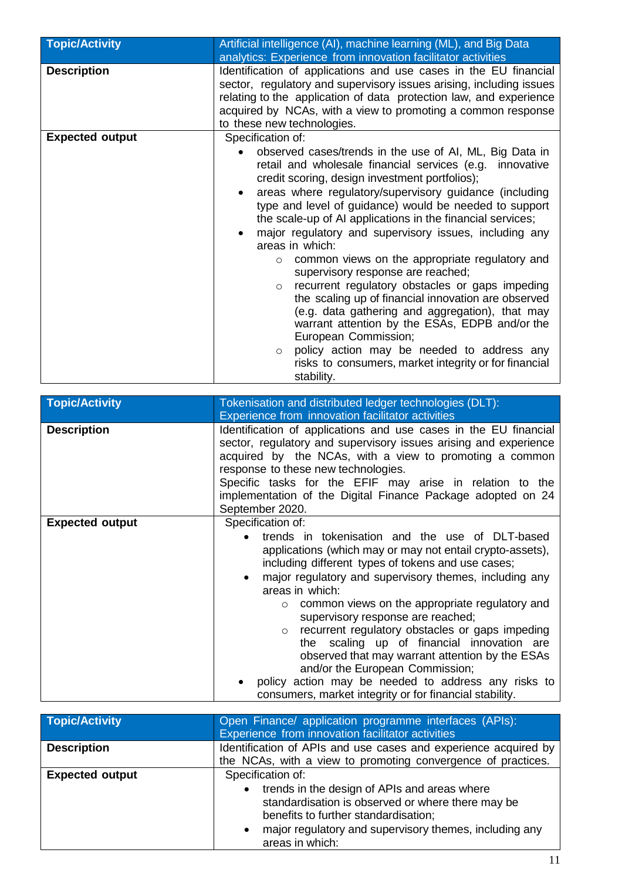| <b>Topic/Activity</b>  | Artificial intelligence (AI), machine learning (ML), and Big Data<br>analytics: Experience from innovation facilitator activities                                                                                                                                                                                                                                                                                                                                                                                                                                                                                                                                                                                                                                                                                                                                                                                                                          |
|------------------------|------------------------------------------------------------------------------------------------------------------------------------------------------------------------------------------------------------------------------------------------------------------------------------------------------------------------------------------------------------------------------------------------------------------------------------------------------------------------------------------------------------------------------------------------------------------------------------------------------------------------------------------------------------------------------------------------------------------------------------------------------------------------------------------------------------------------------------------------------------------------------------------------------------------------------------------------------------|
| <b>Description</b>     | Identification of applications and use cases in the EU financial<br>sector, regulatory and supervisory issues arising, including issues<br>relating to the application of data protection law, and experience<br>acquired by NCAs, with a view to promoting a common response<br>to these new technologies.                                                                                                                                                                                                                                                                                                                                                                                                                                                                                                                                                                                                                                                |
| <b>Expected output</b> | Specification of:<br>observed cases/trends in the use of AI, ML, Big Data in<br>retail and wholesale financial services (e.g. innovative<br>credit scoring, design investment portfolios);<br>areas where regulatory/supervisory guidance (including<br>$\bullet$<br>type and level of guidance) would be needed to support<br>the scale-up of AI applications in the financial services;<br>major regulatory and supervisory issues, including any<br>areas in which:<br>common views on the appropriate regulatory and<br>$\circ$<br>supervisory response are reached;<br>recurrent regulatory obstacles or gaps impeding<br>$\circ$<br>the scaling up of financial innovation are observed<br>(e.g. data gathering and aggregation), that may<br>warrant attention by the ESAs, EDPB and/or the<br>European Commission;<br>policy action may be needed to address any<br>$\circ$<br>risks to consumers, market integrity or for financial<br>stability. |

| <b>Topic/Activity</b>  | Tokenisation and distributed ledger technologies (DLT):<br>Experience from innovation facilitator activities                                                                                                                                                              |
|------------------------|---------------------------------------------------------------------------------------------------------------------------------------------------------------------------------------------------------------------------------------------------------------------------|
|                        |                                                                                                                                                                                                                                                                           |
| <b>Description</b>     | Identification of applications and use cases in the EU financial<br>sector, regulatory and supervisory issues arising and experience<br>acquired by the NCAs, with a view to promoting a common<br>response to these new technologies.                                    |
|                        | Specific tasks for the EFIF may arise in relation to the                                                                                                                                                                                                                  |
|                        | implementation of the Digital Finance Package adopted on 24                                                                                                                                                                                                               |
|                        |                                                                                                                                                                                                                                                                           |
|                        | September 2020.                                                                                                                                                                                                                                                           |
| <b>Expected output</b> | Specification of:                                                                                                                                                                                                                                                         |
|                        | trends in tokenisation and the use of DLT-based<br>$\bullet$<br>applications (which may or may not entail crypto-assets),<br>including different types of tokens and use cases;<br>major regulatory and supervisory themes, including any<br>$\bullet$<br>areas in which: |
|                        | $\circ$ common views on the appropriate regulatory and<br>supervisory response are reached;                                                                                                                                                                               |
|                        | recurrent regulatory obstacles or gaps impeding<br>$\circ$<br>the scaling up of financial innovation are<br>observed that may warrant attention by the ESAs<br>and/or the European Commission;<br>policy action may be needed to address any risks to                     |
|                        | consumers, market integrity or for financial stability.                                                                                                                                                                                                                   |

| <b>Topic/Activity</b>  | Open Finance/ application programme interfaces (APIs):<br>Experience from innovation facilitator activities                                                                                                                                                |
|------------------------|------------------------------------------------------------------------------------------------------------------------------------------------------------------------------------------------------------------------------------------------------------|
| <b>Description</b>     | Identification of APIs and use cases and experience acquired by<br>the NCAs, with a view to promoting convergence of practices.                                                                                                                            |
| <b>Expected output</b> | Specification of:<br>• trends in the design of APIs and areas where<br>standardisation is observed or where there may be<br>benefits to further standardisation;<br>major regulatory and supervisory themes, including any<br>$\bullet$<br>areas in which: |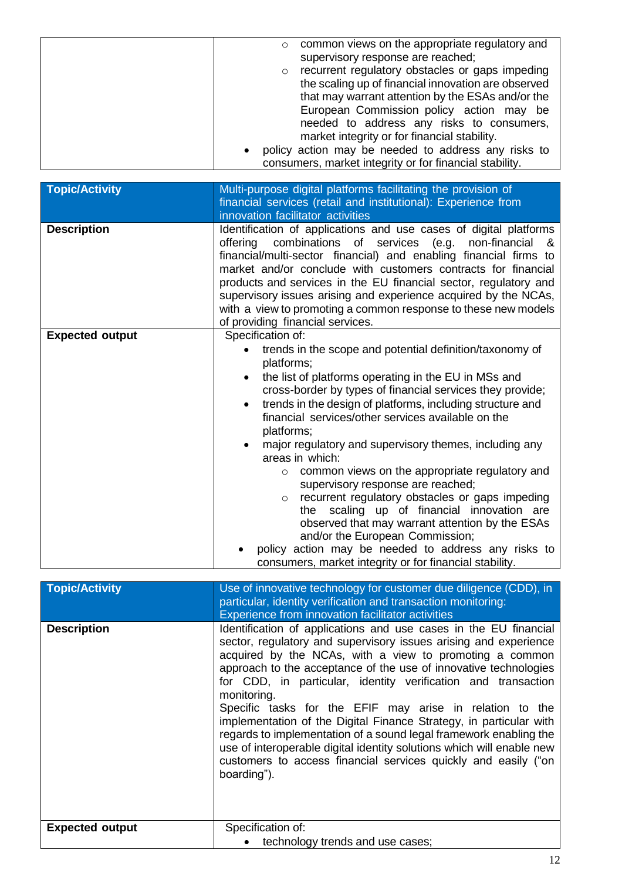| common views on the appropriate regulatory and<br>$\circ$<br>supervisory response are reached;                                                                                                                                                          |
|---------------------------------------------------------------------------------------------------------------------------------------------------------------------------------------------------------------------------------------------------------|
| recurrent regulatory obstacles or gaps impeding<br>$\circ$<br>the scaling up of financial innovation are observed<br>that may warrant attention by the ESAs and/or the                                                                                  |
| European Commission policy action may be<br>needed to address any risks to consumers,<br>market integrity or for financial stability.<br>policy action may be needed to address any risks to<br>consumers, market integrity or for financial stability. |

| <b>Topic/Activity</b>  | Multi-purpose digital platforms facilitating the provision of                                                                                                                                                                                                                                                                                                                                                                                                                                                                                                                                                                                                                                                                                                                                              |
|------------------------|------------------------------------------------------------------------------------------------------------------------------------------------------------------------------------------------------------------------------------------------------------------------------------------------------------------------------------------------------------------------------------------------------------------------------------------------------------------------------------------------------------------------------------------------------------------------------------------------------------------------------------------------------------------------------------------------------------------------------------------------------------------------------------------------------------|
|                        | financial services (retail and institutional): Experience from<br>innovation facilitator activities                                                                                                                                                                                                                                                                                                                                                                                                                                                                                                                                                                                                                                                                                                        |
| <b>Description</b>     | Identification of applications and use cases of digital platforms<br>combinations of services<br>offering<br>(e.g.<br>non-financial<br>&<br>financial/multi-sector financial) and enabling financial firms to<br>market and/or conclude with customers contracts for financial<br>products and services in the EU financial sector, regulatory and<br>supervisory issues arising and experience acquired by the NCAs,<br>with a view to promoting a common response to these new models<br>of providing financial services.                                                                                                                                                                                                                                                                                |
| <b>Expected output</b> | Specification of:<br>trends in the scope and potential definition/taxonomy of<br>platforms;<br>the list of platforms operating in the EU in MSs and<br>cross-border by types of financial services they provide;<br>trends in the design of platforms, including structure and<br>$\bullet$<br>financial services/other services available on the<br>platforms;<br>major regulatory and supervisory themes, including any<br>areas in which:<br>common views on the appropriate regulatory and<br>$\circ$<br>supervisory response are reached;<br>recurrent regulatory obstacles or gaps impeding<br>$\circ$<br>scaling up of financial innovation are<br>the<br>observed that may warrant attention by the ESAs<br>and/or the European Commission;<br>policy action may be needed to address any risks to |
|                        | consumers, market integrity or for financial stability.                                                                                                                                                                                                                                                                                                                                                                                                                                                                                                                                                                                                                                                                                                                                                    |
| <b>Topic/Activity</b>  | Use of innovative technology for customer due diligence (CDD), in<br>particular, identity verification and transaction monitoring:                                                                                                                                                                                                                                                                                                                                                                                                                                                                                                                                                                                                                                                                         |
| <b>Description</b>     | Experience from innovation facilitator activities<br>Identification of applications and use cases in the EU financial<br>sector, regulatory and supervisory issues arising and experience<br>acquired by the NCAs, with a view to promoting a common<br>approach to the acceptance of the use of innovative technologies<br>for CDD, in particular, identity verification and transaction<br>monitoring.<br>Specific tasks for the EFIF may arise in relation to the<br>implementation of the Digital Finance Strategy, in particular with<br>regards to implementation of a sound legal framework enabling the<br>use of interoperable digital identity solutions which will enable new<br>customers to access financial services quickly and easily ("on<br>boarding").                                  |
| <b>Expected output</b> | Specification of:<br>technology trends and use cases;                                                                                                                                                                                                                                                                                                                                                                                                                                                                                                                                                                                                                                                                                                                                                      |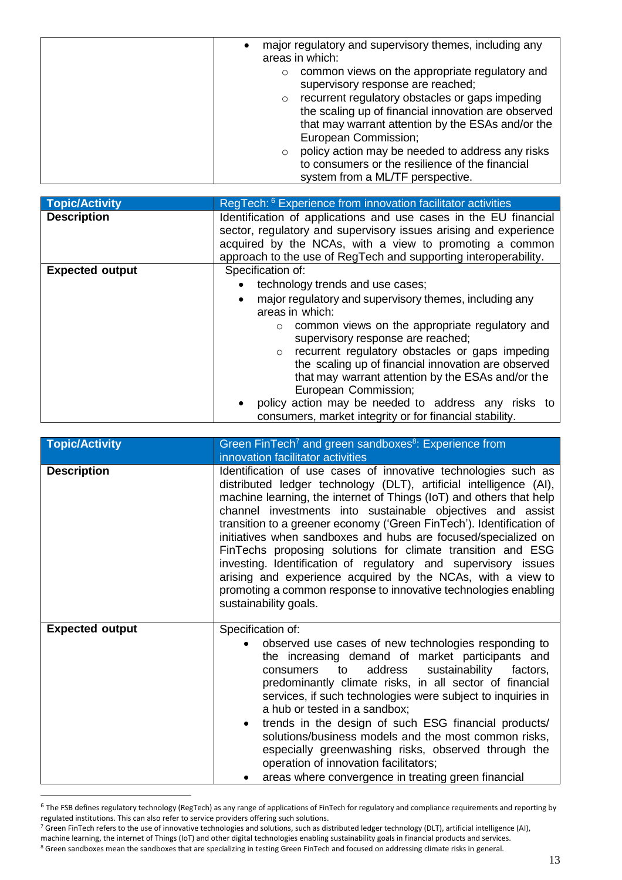| major regulatory and supervisory themes, including any<br>areas in which:                                                                                                                                                                                                                                                                            |
|------------------------------------------------------------------------------------------------------------------------------------------------------------------------------------------------------------------------------------------------------------------------------------------------------------------------------------------------------|
| common views on the appropriate regulatory and<br>$\circ$<br>supervisory response are reached;<br>recurrent regulatory obstacles or gaps impeding<br>$\circ$<br>the scaling up of financial innovation are observed<br>that may warrant attention by the ESAs and/or the<br>European Commission;<br>policy action may be needed to address any risks |
| to consumers or the resilience of the financial                                                                                                                                                                                                                                                                                                      |
| system from a ML/TF perspective.                                                                                                                                                                                                                                                                                                                     |

| <b>Topic/Activity</b>  | RegTech: <sup>6</sup> Experience from innovation facilitator activities                                                              |
|------------------------|--------------------------------------------------------------------------------------------------------------------------------------|
| <b>Description</b>     | Identification of applications and use cases in the EU financial<br>sector, regulatory and supervisory issues arising and experience |
|                        | acquired by the NCAs, with a view to promoting a common                                                                              |
|                        | approach to the use of RegTech and supporting interoperability.                                                                      |
| <b>Expected output</b> | Specification of:                                                                                                                    |
|                        | technology trends and use cases;                                                                                                     |
|                        | major regulatory and supervisory themes, including any                                                                               |
|                        | areas in which:                                                                                                                      |
|                        | common views on the appropriate regulatory and<br>$\circ$                                                                            |
|                        | supervisory response are reached;                                                                                                    |
|                        | recurrent regulatory obstacles or gaps impeding                                                                                      |
|                        | the scaling up of financial innovation are observed                                                                                  |
|                        | that may warrant attention by the ESAs and/or the                                                                                    |
|                        | European Commission;                                                                                                                 |
|                        | policy action may be needed to address any risks to                                                                                  |
|                        | consumers, market integrity or for financial stability.                                                                              |

| <b>Topic/Activity</b>  | Green FinTech <sup>7</sup> and green sandboxes <sup>8</sup> : Experience from<br>innovation facilitator activities                                                                                                                                                                                                                                                                                                                                                                                                                                                                                                                                                                                              |
|------------------------|-----------------------------------------------------------------------------------------------------------------------------------------------------------------------------------------------------------------------------------------------------------------------------------------------------------------------------------------------------------------------------------------------------------------------------------------------------------------------------------------------------------------------------------------------------------------------------------------------------------------------------------------------------------------------------------------------------------------|
| <b>Description</b>     | Identification of use cases of innovative technologies such as<br>distributed ledger technology (DLT), artificial intelligence (AI),<br>machine learning, the internet of Things (IoT) and others that help<br>channel investments into sustainable objectives and assist<br>transition to a greener economy ('Green FinTech'). Identification of<br>initiatives when sandboxes and hubs are focused/specialized on<br>FinTechs proposing solutions for climate transition and ESG<br>investing. Identification of regulatory and supervisory issues<br>arising and experience acquired by the NCAs, with a view to<br>promoting a common response to innovative technologies enabling<br>sustainability goals. |
| <b>Expected output</b> | Specification of:<br>observed use cases of new technologies responding to<br>the increasing demand of market participants and<br>address<br>sustainability<br>factors,<br>to<br>consumers<br>predominantly climate risks, in all sector of financial<br>services, if such technologies were subject to inquiries in<br>a hub or tested in a sandbox;<br>trends in the design of such ESG financial products/<br>$\bullet$<br>solutions/business models and the most common risks,<br>especially greenwashing risks, observed through the<br>operation of innovation facilitators;<br>areas where convergence in treating green financial                                                                        |

<sup>&</sup>lt;sup>6</sup> The FSB defines regulatory technology (RegTech) as any range of applications of FinTech for regulatory and compliance requirements and reporting by regulated institutions. This can also refer to service providers offering such solutions.

 $\overline{a}$ 

 $^7$  Green FinTech refers to the use of innovative technologies and solutions, such as distributed ledger technology (DLT), artificial intelligence (AI),

machine learning, the internet of Things (IoT) and other digital technologies enabling sustainability goals in financial products and services. <sup>8</sup> Green sandboxes mean the sandboxes that are specializing in testing Green FinTech and focused on addressing climate risks in general.